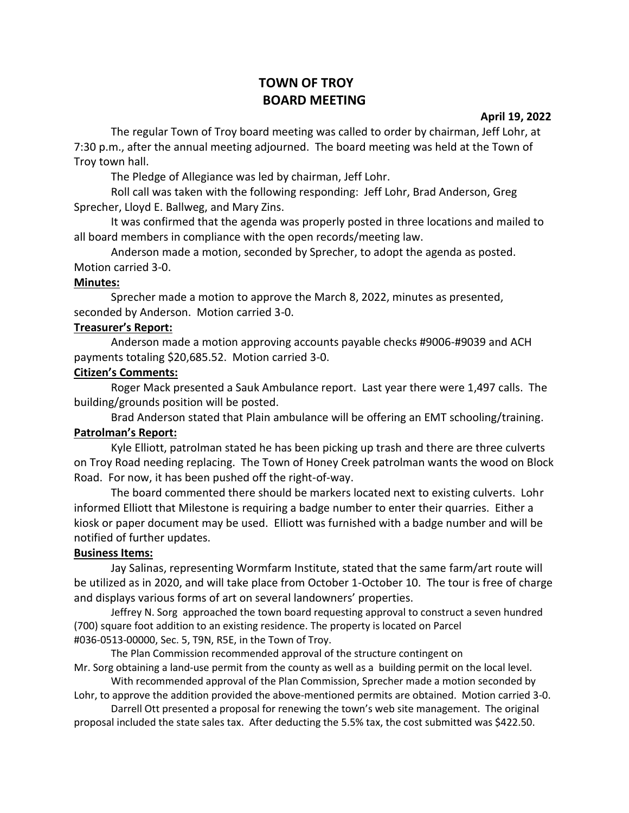# **TOWN OF TROY BOARD MEETING**

**April 19, 2022**

The regular Town of Troy board meeting was called to order by chairman, Jeff Lohr, at 7:30 p.m., after the annual meeting adjourned. The board meeting was held at the Town of Troy town hall.

The Pledge of Allegiance was led by chairman, Jeff Lohr.

Roll call was taken with the following responding: Jeff Lohr, Brad Anderson, Greg Sprecher, Lloyd E. Ballweg, and Mary Zins.

It was confirmed that the agenda was properly posted in three locations and mailed to all board members in compliance with the open records/meeting law.

Anderson made a motion, seconded by Sprecher, to adopt the agenda as posted. Motion carried 3-0.

### **Minutes:**

Sprecher made a motion to approve the March 8, 2022, minutes as presented, seconded by Anderson. Motion carried 3-0.

### **Treasurer's Report:**

Anderson made a motion approving accounts payable checks #9006-#9039 and ACH payments totaling \$20,685.52. Motion carried 3-0.

### **Citizen's Comments:**

Roger Mack presented a Sauk Ambulance report. Last year there were 1,497 calls. The building/grounds position will be posted.

Brad Anderson stated that Plain ambulance will be offering an EMT schooling/training.

#### **Patrolman's Report:**

Kyle Elliott, patrolman stated he has been picking up trash and there are three culverts on Troy Road needing replacing. The Town of Honey Creek patrolman wants the wood on Block Road. For now, it has been pushed off the right-of-way.

The board commented there should be markers located next to existing culverts. Lohr informed Elliott that Milestone is requiring a badge number to enter their quarries. Either a kiosk or paper document may be used. Elliott was furnished with a badge number and will be notified of further updates.

## **Business Items:**

Jay Salinas, representing Wormfarm Institute, stated that the same farm/art route will be utilized as in 2020, and will take place from October 1-October 10. The tour is free of charge and displays various forms of art on several landowners' properties.

Jeffrey N. Sorg approached the town board requesting approval to construct a seven hundred (700) square foot addition to an existing residence. The property is located on Parcel #036-0513-00000, Sec. 5, T9N, R5E, in the Town of Troy.

The Plan Commission recommended approval of the structure contingent on

Mr. Sorg obtaining a land-use permit from the county as well as a building permit on the local level. With recommended approval of the Plan Commission, Sprecher made a motion seconded by

Lohr, to approve the addition provided the above-mentioned permits are obtained. Motion carried 3-0. Darrell Ott presented a proposal for renewing the town's web site management. The original

proposal included the state sales tax. After deducting the 5.5% tax, the cost submitted was \$422.50.